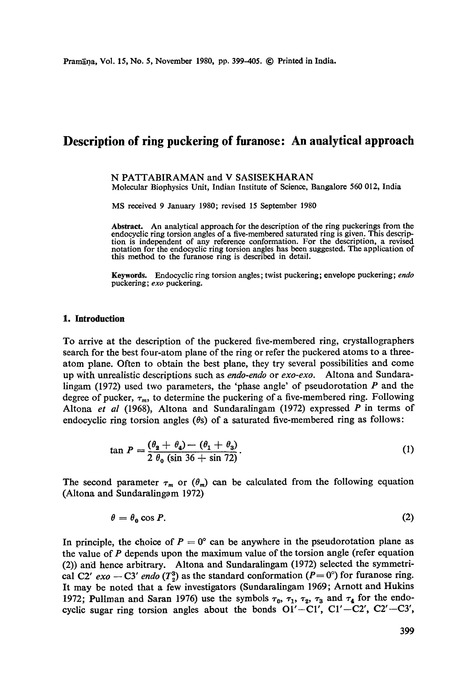# **Description of ring puckering of furanose: An analytical approach**

#### N PATTABIRAMAN and V SASISEKHARAN Molecular Biophysics Unit, Indian Institute of Science, Bangalore 560 012, India

MS received 9 January 1980; revised 15 September 1980

**Abstract.** An analytical approach for the description of the ring puckerings from the endocyclic ring torsion angles of a five-membered saturated ring is given. This description is independent of any reference conformation. For the description, a revised notation for the endocyclic ring torsion angles has been suggested. The application of this method to the furanose ring is described in detail.

Keywords. Endocyclic ring torsion angles; twist puckering; envelope puckering; *endo*  puckering; *exo* puckering.

#### **1. Introduction**

To arrive at the description of the puckered five-membered ring, crystallographers search for the best four-atom plane of the ring or refer the puckered atoms to a threeatom plane. Often to obtain the best plane, they try several possibilities and come up with unrealistic descriptions such as *endo-endo* or *exo-exo.* Altona and Sundaralingam (1972) used two parameters, the 'phase angle' of pseudorotation  $P$  and the degree of pucker,  $\tau_m$ , to determine the puckering of a five-membered ring. Following Altona *et al* (1968), Altona and Sundaralingam (1972) expressed P in terms of endocyclic ring torsion angles ( $\theta$ s) of a saturated five-membered ring as follows:

$$
\tan P = \frac{(\theta_2 + \theta_4) - (\theta_1 + \theta_3)}{2 \theta_0 (\sin 36 + \sin 72)}.
$$
 (1)

The second parameter  $\tau_m$  or  $(\theta_m)$  can be calculated from the following equation (Altona and Sundaralingam 1972)

$$
\theta = \theta_0 \cos P. \tag{2}
$$

In principle, the choice of  $P = 0^\circ$  can be anywhere in the pseudorotation plane as the value of  $P$  depends upon the maximum value of the torsion angle (refer equation (2)) and hence arbitrary. Altona and Sundaralingam (1972) selected the symmetrical C2'  $exo - C3'$  *endo* ( $T_2^3$ ) as the standard conformation ( $P= 0^\circ$ ) for furanose ring. It may be noted that a few investigators (Sundaralingam 1969; Arnott and Hukins 1972; Pullman and Saran 1976) use the symbols  $\tau_0$ ,  $\tau_1$ ,  $\tau_2$ ,  $\tau_3$  and  $\tau_4$  for the endocyclic sugar ring torsion angles about the bonds  $O1' - Cl'$ ,  $Cl' - Cl'$ ,  $Cl' - Cl'$ ,  $Cl' - Cl'$ ,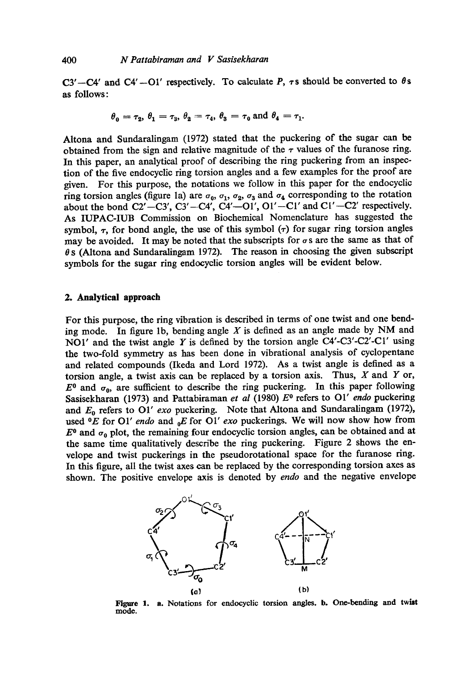C3'-C4' and C4'-O1' respectively. To calculate P,  $\tau s$  should be converted to  $\theta s$ as follows:

$$
\theta_0 = \tau_2, \theta_1 = \tau_3, \theta_2 = \tau_4, \theta_3 = \tau_0 \text{ and } \theta_4 = \tau_1.
$$

Altona and Sundaralingam (1972) stated that the puckering of the sugar can be obtained from the sign and relative magnitude of the  $\tau$  values of the furanose ring. In this paper, an analytical proof of describing the ring puckering from an inspection of the five endocyclic ring torsion angles and a few examples for the proof are given. For this purpose, the notations we follow in this paper for the endocyclic ring torsion angles (figure 1a) are  $\sigma_0$ ,  $\sigma_1$ ,  $\sigma_2$ ,  $\sigma_3$  and  $\sigma_4$  corresponding to the rotation about the bond  $C2' - C3'$ ,  $C3' - C4'$ ,  $C4' - O1'$ ,  $O1' - Cl'$  and  $Cl' - C2'$  respectively. As IUPAC-IUB Commission on Biochemical Nomenclature has suggested the symbol,  $\tau$ , for bond angle, the use of this symbol  $(\tau)$  for sugar ring torsion angles may be avoided. It may be noted that the subscripts for  $\sigma s$  are the same as that of  $\theta$  s (Altona and Sundaralingam 1972). The reason in choosing the given subscript symbols for the sugar ring endoeyclic torsion angles will be evident below.

## **2. Analytical approach**

For this purpose, the ring vibration is described in terms of one twist and one bending mode. In figure 1b, bending angle  $X$  is defined as an angle made by NM and NO1' and the twist angle Y is defined by the torsion angle  $C4'-C3'-C2'-C1'$  using the two-fold symmetry as has been done in vibrational analysis of cyclopentane and related compounds (Ikeda and Lord 1972). As a twist angle is defined as a torsion angle, a twist axis can be replaced by a torsion axis. Thus,  $X$  and  $Y$  or,  $E^0$  and  $\sigma_0$ , are sufficient to describe the ring puckering. In this paper following Sasisekharan (1973) and Pattabiraman *et al* (1980)  $E^0$  refers to O1' *endo* puckering and  $E_0$  refers to O1' *exo* puckering. Note that Altona and Sundaralingam (1972), used  ${}^0E$  for O1' *endo* and  ${}_{0}E$  for O1' *exo* puckerings. We will now show how from  $E^0$  and  $\sigma_0$  plot, the remaining four endocyclic torsion angles, can be obtained and at the same time qualitatively describe the ring puckering. Figure 2 shows the envelope and twist puckerings in the pseudorotational space for the furanose ring. In this figure, all the twist axes can be replaced by the corresponding torsion axes as shown. The positive envelope axis is denoted by *endo* and the negative envelope



Figure 1. a. Notations for endocyclic torsion angles, b. One-bending and twist **mode.**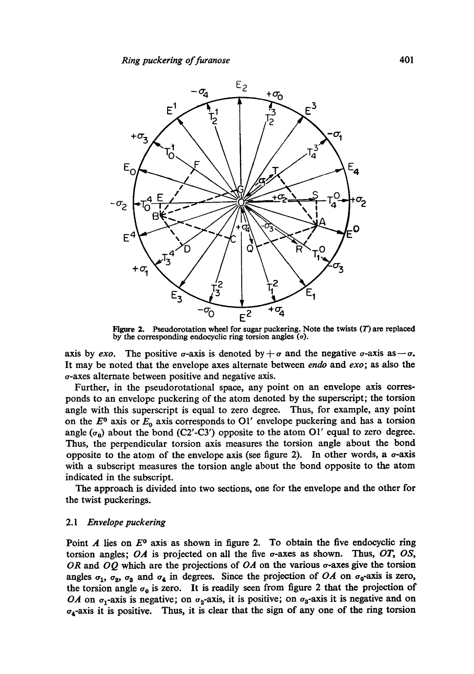

Figure 2. Pseudorotation wheel for sugar puckering. Note the twists  $(T)$  are replaced by the corresponding endocyclic ring torsion angles  $(\sigma)$ .

axis by *exo*. The positive  $\sigma$ -axis is denoted by  $+\sigma$  and the negative  $\sigma$ -axis as  $-\sigma$ . It may be noted that the envelope axes alternate between *endo* and *exo;* as also the o-axes alternate between positive and negative axis.

Further, in the pseudorotational space, any point on an envelope axis corresponds to an envelope puckering of the atom denoted by the superscript; the torsion angle with this superscript is equal to zero degree. Thus, for example, any point on the  $E^0$  axis or  $E_0$  axis corresponds to O1' envelope puckering and has a torsion angle  $(\sigma_0)$  about the bond (C2'-C3') opposite to the atom O1' equal to zero degree. Thus, the perpendicular torsion axis measures the torsion angle about the bond opposite to the atom of the envelope axis (see figure 2). In other words, a  $\sigma$ -axis with a subscript measures the torsion angle about the bond opposite to the atom indicated in the subscript.

The approach is divided into two sections, one for the envelope and the other for the twist puckerings.

# *2.1 Envelope puckering*

Point A lies on  $E^0$  axis as shown in figure 2. To obtain the five endocyclic ring torsion angles; *OA* is projected on all the five o-axes as shown. Thus, *OT, OS,*  OR and *OQ* which are the projections of *OA* on the various o-axes give the torsion angles  $\sigma_1$ ,  $\sigma_2$ ,  $\sigma_3$  and  $\sigma_4$  in degrees. Since the projection of *OA* on  $\sigma_0$ -axis is zero, the torsion angle  $\sigma_0$  is zero. It is readily seen from figure 2 that the projection of *OA* on  $\sigma_1$ -axis is negative; on  $\sigma_2$ -axis, it is positive; on  $\sigma_3$ -axis it is negative and on  $\sigma_4$ -axis it is positive. Thus, it is clear that the sign of any one of the ring torsion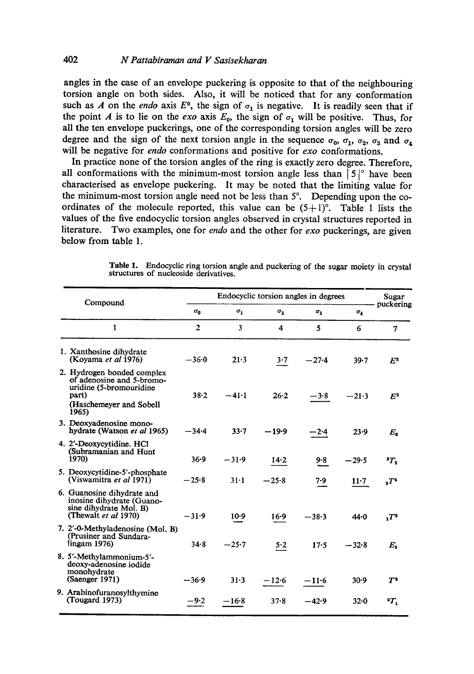# 402 *N Pattabiraman and I z Sasisekharan*

angles in the case of an envelope puckering is opposite to that of the neighbouring torsion angle on both sides. Also, it will be noticed that for any conformation such as A on the *endo* axis  $E^0$ , the sign of  $\sigma_1$  is negative. It is readily seen that if the point A is to lie on the *exo* axis  $E_0$ , the sign of  $\sigma_1$  will be positive. Thus, for all the ten envelope puckerings, one of the corresponding torsion angles will be zero degree and the sign of the next torsion angle in the sequence  $\sigma_0$ ,  $\sigma_1$ ,  $\sigma_2$ ,  $\sigma_3$  and  $\sigma_4$ will be negative for *endo* conformations and positive for *exo* conformations.

In practice none of the torsion angles of the ring is exactly zero degree. Therefore, all conformations with the minimum-most torsion angle less than  $|5|^\circ$  have been characterised as envelope puckering. It may be noted that the limiting value for the minimum-most torsion angle need not be less than  $5^\circ$ . Depending upon the coordinates of the molecule reported, this value can be  $(5+1)$ °. Table 1 lists the values of the five endocyclic torsion angles observed in crystal structures reported in literature. Two examples, one for *endo* and the other for *exo* puckerings, are given below from table 1.

|  | Compound                                                                                                                        | Endocyclic torsion angles in degrees |              |              |              |            | Sugar              |
|--|---------------------------------------------------------------------------------------------------------------------------------|--------------------------------------|--------------|--------------|--------------|------------|--------------------|
|  |                                                                                                                                 | $\sigma_{\bf n}$                     | $\sigma_{1}$ | $\sigma_{2}$ | $\sigma_{2}$ | $\sigma_4$ | puckering          |
|  | $\mathbf{1}$                                                                                                                    | $\overline{2}$                       | 3            | 4            | 5            | 6          | $\mathbf{7}$       |
|  | 1. Xanthosine dihydrate<br>(Koyama et al 1976)                                                                                  | $-36.0$                              | $21 - 3$     | 3.7          | $-27.4$      | $39 - 7$   | E <sup>2</sup>     |
|  | 2. Hydrogen bonded complex<br>of adenosine and 5-bromo-<br>uridine (5-bromouridine<br>part)<br>(Haschemeyer and Sobell<br>1965) | 38.2                                 | $-41.1$      | 26.2         | $-3.8$       | $-21.3$    | $E^3$              |
|  | 3. Deoxyadenosine mono-<br>hydrate (Watson et al 1965)                                                                          | $-34.4$                              | $33 - 7$     | $-19.9$      | -24          | 23.9       | $E_{\rm x}$        |
|  | 4. 2'-Deoxycytidine. HCl<br>(Subramanian and Hunt<br>1970)                                                                      | $36 - 9$                             | $-31.9$      | 14.2         | 9.8          | $-29.5$    | T <sub>2</sub>     |
|  | 5. Deoxycytidine-5'-phosphate<br>(Viswamitra et al 1971)                                                                        | $-25.8$                              | $31 - 1$     | $-25.8$      | 7.9          | $11-7$     | T <sup>4</sup>     |
|  | 6. Guanosine dihydrate and<br>inosine dihydrate (Guano-<br>sine dihydrate Mol. B)<br>(Thewalt et al 1970)                       | $-31.9$                              | $10-9$       | 16.9         | $-38.3$      | 44.0       | $T^2$              |
|  | 7. 2'-0-Methyladenosine (Mol. B)<br>(Prusiner and Sundara-<br>lingam 1976                                                       | 34.8                                 | $-25.7$      | 5.2          | 17.5         | $-32.8$    | $E_{\bullet}$      |
|  | 8. 5'-Methylammonium-5'-<br>deoxy-adenosine iodide<br>monohydrate<br>(Saenger 1971)                                             | $-36.9$                              | $31 - 3$     | $-12.6$      | $-11.6$      | 30.9       | $\boldsymbol{T^2}$ |
|  | 9. Arabinofuranosylthymine<br>(Tougard 1973)                                                                                    | $-9.2$                               | $-16.8$      | $37 - 8$     | $-42.9$      | $32 - 0$   | ٠т.                |
|  |                                                                                                                                 |                                      |              |              |              |            |                    |

**Table** 1. Endocyclic ring torsion angle and puckering of the sugar moiety in crystal structures of nucleoside derivatives.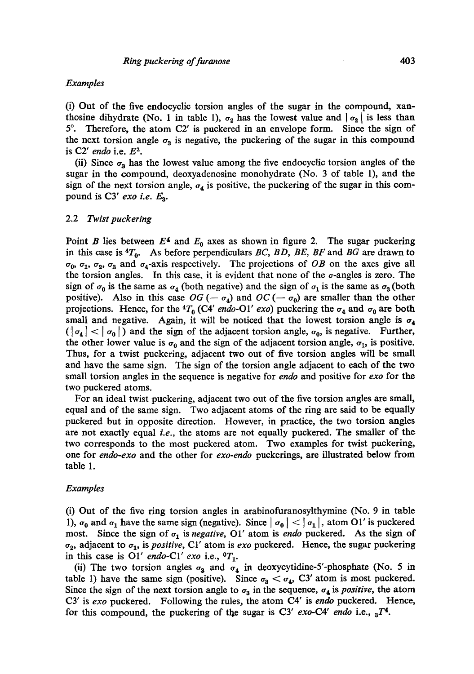## *Examples*

(i) Out of the five endocyclic torsion angles of the sugar in the compound, xanthosine dihydrate (No. 1 in table 1),  $\sigma_2$  has the lowest value and  $|\sigma_2|$  is less than  $5^\circ$ . Therefore, the atom C2' is puckered in an envelope form. Since the sign of the next torsion angle  $\sigma_3$  is negative, the puckering of the sugar in this compound is C2' endo i.e.  $E^2$ .

(ii) Since  $\sigma_3$  has the lowest value among the five endocyclic torsion angles of the sugar in the compound, deoxyadenosine monohydrate (No. 3 of table 1), and the sign of the next torsion angle,  $\sigma_4$  is positive, the puckering of the sugar in this compound is  $C3'$  *exo i.e.*  $E_3$ .

#### 2.2 *Twist puckering*

Point B lies between  $E<sup>4</sup>$  and  $E<sub>0</sub>$  axes as shown in figure 2. The sugar puckering in this case is  ${}^4T_0$ . As before perpendiculars *BC, BD, BE, BF* and *BG* are drawn to  $\sigma_0$ ,  $\sigma_1$ ,  $\sigma_2$ ,  $\sigma_3$  and  $\sigma_4$ -axis respectively. The projections of *OB* on the axes give all the torsion angles. In this case, it is evident that none of the  $\sigma$ -angles is zero. The sign of  $\sigma_0$  is the same as  $\sigma_4$  (both negative) and the sign of  $\sigma_1$  is the same as  $\sigma_3$  (both positive). Also in this case  $OG(-\sigma_4)$  and  $OC(-\sigma_0)$  are smaller than the other projections. Hence, for the  ${}^4T_0$  (C4' *endo-O1' exo*) puckering the  $\sigma_4$  and  $\sigma_0$  are both small and negative. Again, it will be noticed that the lowest torsion angle is  $\sigma_4$  $(|\sigma_4| < |\sigma_0|)$  and the sign of the adjacent torsion angle,  $\sigma_0$ , is negative. Further, the other lower value is  $\sigma_0$  and the sign of the adjacent torsion angle,  $\sigma_1$ , is positive. Thus, for a twist puckering, adjacent two out of five torsion angles will be small and have the same sign. The sign of the torsion angle adjacent to each of the two small torsion angles in the sequence is negative for *endo* and positive for *exo* for the two puckered atoms.

For an ideal twist puckering, adjacent two out of the five torsion angles are small, equal and of the same sign. Two adjacent atoms of the ring are said to be equally puckered but in opposite direction. However, in practice, the two torsion angles are not exactly equal *i.e.,* the atoms are not equally puckered. The smaller of the two corresponds to the most puckered atom. Two examples for twist puckering, one for *endo-exo* and the other for *exo-endo* puckerings, are illustrated below from table 1.

#### *Examples*

(i) Out of the five ring torsion angles in arabinofuranosylthymine (No. 9 in table 1),  $\sigma_0$  and  $\sigma_1$  have the same sign (negative). Since  $|\sigma_0| < |\sigma_1|$ , atom O1' is puckered most. Since the sign of  $\sigma_1$  is *negative*, O1' atom is *endo* puckered. As the sign of  $\sigma_2$ , adjacent to  $\sigma_1$ , is *positive*, C1' atom is *exo* puckered. Hence, the sugar puckering in this case is O1' *endo-C1' exo* i.e.,  ${}^{\circ}T_1$ .

(ii) The two torsion angles  $\sigma_3$  and  $\sigma_4$  in deoxycytidine-5'-phosphate (No. 5 in table 1) have the same sign (positive). Since  $\sigma_3 < \sigma_4$ , C3' atom is most puckered. Since the sign of the next torsion angle to  $\sigma_3$  in the sequence,  $\sigma_4$  is *positive*, the atom CY is *exo* puckered. Following the rules, the atom C4' is *endo* puckered. Hence, for this compound, the puckering of the sugar is C3'  $exo$ -C4' endo i.e.,  ${}_{3}T^{4}$ .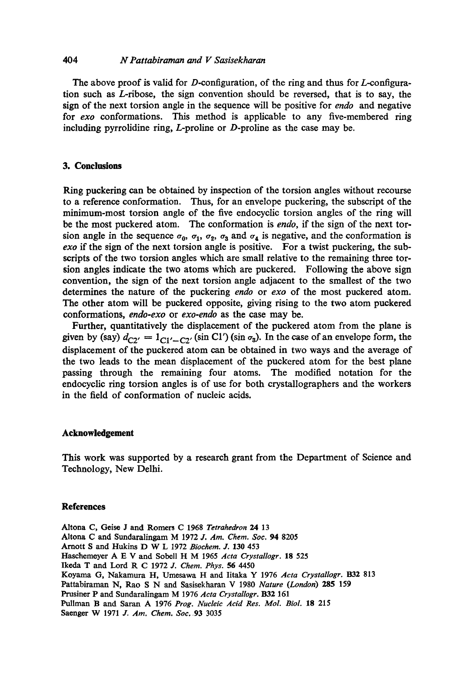# *404 N Pattabiraman and V Sasisekharan*

The above proof is valid for D-configuration, of the ring and thus for  $L$ -configuration such as L-ribose, the sign convention should be reversed, that is to say, the sign of the next torsion angle in the sequence will be positive for *endo* and negative for *exo* conformations. This method is applicable to any five-membered ring including pyrrolidine ring, L-proline or D-proline as the case may be.

# **3. Conclusions**

Ring puckering can be obtained by inspection of the torsion angles without recourse to a reference conformation. Thus, for an envelope puckering, the subscript of the minimum-most torsion angle of the five endocyclic torsion angles of the ring will be the most puckered atom. The conformation is *endo,* if the sign of the next torsion angle in the sequence  $\sigma_0$ ,  $\sigma_1$ ,  $\sigma_2$ ,  $\sigma_3$  and  $\sigma_4$  is negative, and the conformation is *exo* if the sign of the next torsion angle is positive. For a twist puckering, the subscripts of the two torsion angles which are small relative to the remaining three torsion angles indicate the two atoms which are puckered. Following the above sign convention, the sign of the next torsion angle adjacent to the smallest of the two determines the nature of the puckering *endo* or *exo* of the most puckered atom. The other atom will be puckered opposite, giving rising to the two atom puckered conformations, *endo-exo* or *exo-endo* as the case may be.

Further, quantitatively the displacement of the puckered atom from the plane is given by (say)  $d_{C2'} = 1_{C1'-C2'} (\sin C1') (\sin \sigma_3)$ . In the case of an envelope form, the displacement of the puckered atom can be obtained in two ways and the average of the two leads to the mean displacement of the puckered atom for the best plane passing through the remaining four atoms. The modified notation for the endocyclic ring torsion angles is of use for both crystallographers and the workers in the field of conformation of nucleic acids.

#### **Acknowledgement**

This work was supported by a research grant from the Department of Science and Technology, New Delhi.

#### **References**

Altona **C, Geise J and Romers C** 1968 *Tetrahedron 24* 13 Altona C and Sundaralingam M 1972 *3. Am. Chem. Soc.* 94 8205 Arnott S and Hukins D W L 1972 *Biochem. J.* 130 453 Haschemeyer A E V and Sobell H M 1965 Acta Crystallogr. 18 525 Ikeda T **and** Lord R C 1972 *J. Chem. Phys.* 56 4450 Koyama G, Nakamura H, Umosawa H and Iitaka Y 1976 *Acta Crystallogr.* 1332 813 Pattabiraman N, Rao S N and Sasisekharan V 1980 *Nature (London)* 285 159 Prusiner P and Sundaralingam M 1976 *Acta Crystallogr.* B32 161 Pullman B and Saran A 1976 *Prog. Nucleic Acid Res. Mol. Biol.* 18 215 Saenger W 1971 *J. Am. Chem. Soc,* 93 3035